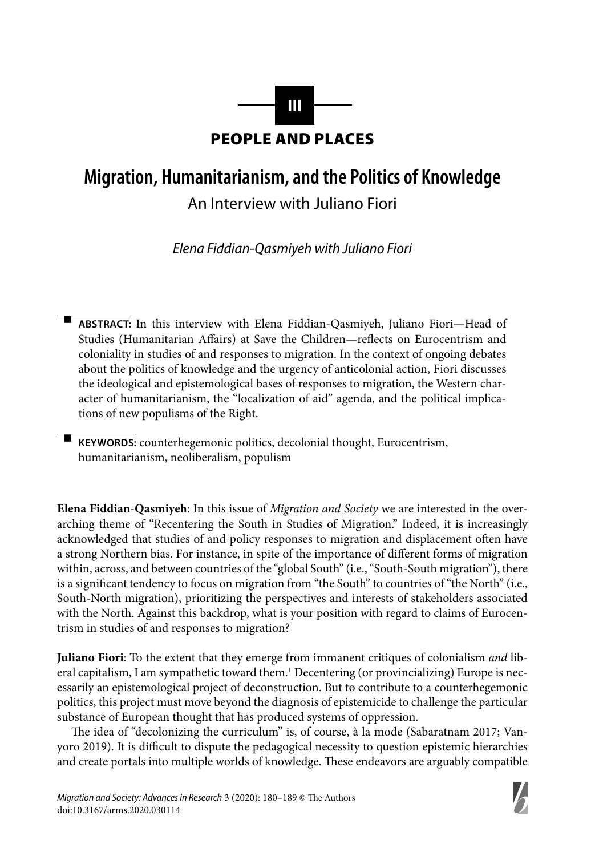

## **Migration, Humanitarianism, and the Politics of Knowledge**

An Interview with Juliano Fiori

Elena Fiddian-Qasmiyeh with Juliano Fiori

- **ABSTRACT:** In this interview with Elena Fiddian-Qasmiyeh, Juliano Fiori—Head of Studies (Humanitarian Affairs) at Save the Children—reflects on Eurocentrism and coloniality in studies of and responses to migration. In the context of ongoing debates about the politics of knowledge and the urgency of anticolonial action, Fiori discusses the ideological and epistemological bases of responses to migration, the Western character of humanitarianism, the "localization of aid" agenda, and the political implications of new populisms of the Right.

 **KEYWORDS:** counterhegemonic politics, decolonial thought, Eurocentrism, humanitarianism, neoliberalism, populism

-

**Elena Fiddian**-**Qasmiyeh**: In this issue of *Migration and Society* we are interested in the overarching theme of "Recentering the South in Studies of Migration." Indeed, it is increasingly acknowledged that studies of and policy responses to migration and displacement often have a strong Northern bias. For instance, in spite of the importance of different forms of migration within, across, and between countries of the "global South" (i.e., "South-South migration"), there is a significant tendency to focus on migration from "the South" to countries of "the North" (i.e., South-North migration), prioritizing the perspectives and interests of stakeholders associated with the North. Against this backdrop, what is your position with regard to claims of Eurocentrism in studies of and responses to migration?

**Juliano Fiori**: To the extent that they emerge from immanent critiques of colonialism *and* liberal capitalism, I am sympathetic toward them.<sup>1</sup> Decentering (or provincializing) Europe is necessarily an epistemological project of deconstruction. But to contribute to a counterhegemonic politics, this project must move beyond the diagnosis of epistemicide to challenge the particular substance of European thought that has produced systems of oppression.

The idea of "decolonizing the curriculum" is, of course, à la mode (Sabaratnam 2017; Vanyoro 2019). It is difficult to dispute the pedagogical necessity to question epistemic hierarchies and create portals into multiple worlds of knowledge. These endeavors are arguably compatible

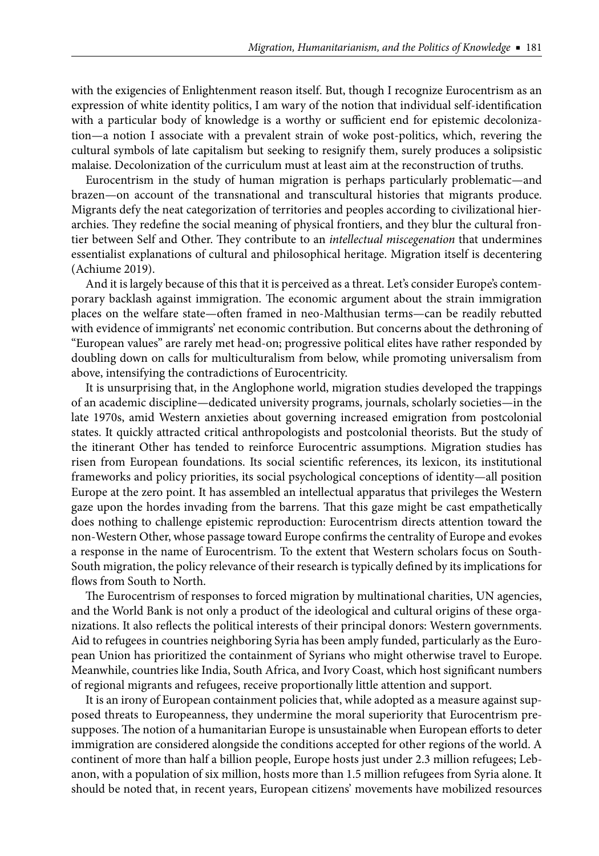with the exigencies of Enlightenment reason itself. But, though I recognize Eurocentrism as an expression of white identity politics, I am wary of the notion that individual self-identification with a particular body of knowledge is a worthy or sufficient end for epistemic decolonization—a notion I associate with a prevalent strain of woke post-politics, which, revering the cultural symbols of late capitalism but seeking to resignify them, surely produces a solipsistic malaise. Decolonization of the curriculum must at least aim at the reconstruction of truths.

Eurocentrism in the study of human migration is perhaps particularly problematic—and brazen—on account of the transnational and transcultural histories that migrants produce. Migrants defy the neat categorization of territories and peoples according to civilizational hierarchies. They redefine the social meaning of physical frontiers, and they blur the cultural frontier between Self and Other. They contribute to an *intellectual miscegenation* that undermines essentialist explanations of cultural and philosophical heritage. Migration itself is decentering (Achiume 2019).

And it is largely because of this that it is perceived as a threat. Let's consider Europe's contemporary backlash against immigration. The economic argument about the strain immigration places on the welfare state—often framed in neo-Malthusian terms—can be readily rebutted with evidence of immigrants' net economic contribution. But concerns about the dethroning of "European values" are rarely met head-on; progressive political elites have rather responded by doubling down on calls for multiculturalism from below, while promoting universalism from above, intensifying the contradictions of Eurocentricity.

It is unsurprising that, in the Anglophone world, migration studies developed the trappings of an academic discipline—dedicated university programs, journals, scholarly societies—in the late 1970s, amid Western anxieties about governing increased emigration from postcolonial states. It quickly attracted critical anthropologists and postcolonial theorists. But the study of the itinerant Other has tended to reinforce Eurocentric assumptions. Migration studies has risen from European foundations. Its social scientific references, its lexicon, its institutional frameworks and policy priorities, its social psychological conceptions of identity—all position Europe at the zero point. It has assembled an intellectual apparatus that privileges the Western gaze upon the hordes invading from the barrens. That this gaze might be cast empathetically does nothing to challenge epistemic reproduction: Eurocentrism directs attention toward the non-Western Other, whose passage toward Europe confirms the centrality of Europe and evokes a response in the name of Eurocentrism. To the extent that Western scholars focus on South-South migration, the policy relevance of their research is typically defined by its implications for flows from South to North.

The Eurocentrism of responses to forced migration by multinational charities, UN agencies, and the World Bank is not only a product of the ideological and cultural origins of these organizations. It also reflects the political interests of their principal donors: Western governments. Aid to refugees in countries neighboring Syria has been amply funded, particularly as the European Union has prioritized the containment of Syrians who might otherwise travel to Europe. Meanwhile, countries like India, South Africa, and Ivory Coast, which host significant numbers of regional migrants and refugees, receive proportionally little attention and support.

It is an irony of European containment policies that, while adopted as a measure against supposed threats to Europeanness, they undermine the moral superiority that Eurocentrism presupposes. The notion of a humanitarian Europe is unsustainable when European efforts to deter immigration are considered alongside the conditions accepted for other regions of the world. A continent of more than half a billion people, Europe hosts just under 2.3 million refugees; Lebanon, with a population of six million, hosts more than 1.5 million refugees from Syria alone. It should be noted that, in recent years, European citizens' movements have mobilized resources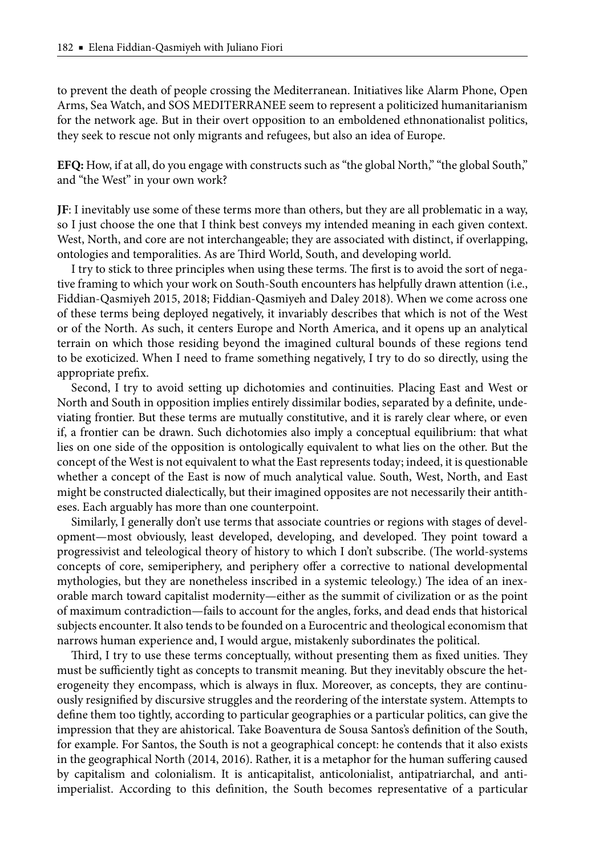to prevent the death of people crossing the Mediterranean. Initiatives like Alarm Phone, Open Arms, Sea Watch, and SOS MEDITERRANEE seem to represent a politicized humanitarianism for the network age. But in their overt opposition to an emboldened ethnonationalist politics, they seek to rescue not only migrants and refugees, but also an idea of Europe.

**EFQ:** How, if at all, do you engage with constructs such as "the global North," "the global South," and "the West" in your own work?

**JF**: I inevitably use some of these terms more than others, but they are all problematic in a way, so I just choose the one that I think best conveys my intended meaning in each given context. West, North, and core are not interchangeable; they are associated with distinct, if overlapping, ontologies and temporalities. As are Third World, South, and developing world.

I try to stick to three principles when using these terms. The first is to avoid the sort of negative framing to which your work on South-South encounters has helpfully drawn attention (i.e., Fiddian-Qasmiyeh 2015, 2018; Fiddian-Qasmiyeh and Daley 2018). When we come across one of these terms being deployed negatively, it invariably describes that which is not of the West or of the North. As such, it centers Europe and North America, and it opens up an analytical terrain on which those residing beyond the imagined cultural bounds of these regions tend to be exoticized. When I need to frame something negatively, I try to do so directly, using the appropriate prefix.

Second, I try to avoid setting up dichotomies and continuities. Placing East and West or North and South in opposition implies entirely dissimilar bodies, separated by a definite, undeviating frontier. But these terms are mutually constitutive, and it is rarely clear where, or even if, a frontier can be drawn. Such dichotomies also imply a conceptual equilibrium: that what lies on one side of the opposition is ontologically equivalent to what lies on the other. But the concept of the West is not equivalent to what the East represents today; indeed, it is questionable whether a concept of the East is now of much analytical value. South, West, North, and East might be constructed dialectically, but their imagined opposites are not necessarily their antitheses. Each arguably has more than one counterpoint.

Similarly, I generally don't use terms that associate countries or regions with stages of development—most obviously, least developed, developing, and developed. They point toward a progressivist and teleological theory of history to which I don't subscribe. (The world-systems concepts of core, semiperiphery, and periphery offer a corrective to national developmental mythologies, but they are nonetheless inscribed in a systemic teleology.) The idea of an inexorable march toward capitalist modernity—either as the summit of civilization or as the point of maximum contradiction—fails to account for the angles, forks, and dead ends that historical subjects encounter. It also tends to be founded on a Eurocentric and theological economism that narrows human experience and, I would argue, mistakenly subordinates the political.

Third, I try to use these terms conceptually, without presenting them as fixed unities. They must be sufficiently tight as concepts to transmit meaning. But they inevitably obscure the heterogeneity they encompass, which is always in flux. Moreover, as concepts, they are continuously resignified by discursive struggles and the reordering of the interstate system. Attempts to define them too tightly, according to particular geographies or a particular politics, can give the impression that they are ahistorical. Take Boaventura de Sousa Santos's definition of the South, for example. For Santos, the South is not a geographical concept: he contends that it also exists in the geographical North (2014, 2016). Rather, it is a metaphor for the human suffering caused by capitalism and colonialism. It is anticapitalist, anticolonialist, antipatriarchal, and antiimperialist. According to this definition, the South becomes representative of a particular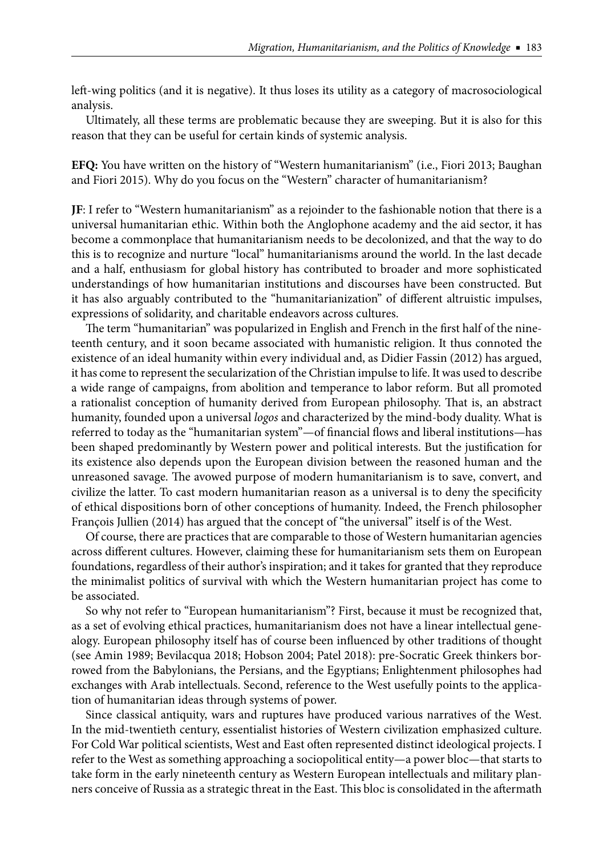left -wing politics (and it is negative). It thus loses its utility as a category of macrosociological analysis.

Ultimately, all these terms are problematic because they are sweeping. But it is also for this reason that they can be useful for certain kinds of systemic analysis.

**EFQ:** You have written on the history of "Western humanitarianism" (i.e., Fiori 2013; Baughan and Fiori 2015). Why do you focus on the "Western" character of humanitarianism?

**JF**: I refer to "Western humanitarianism" as a rejoinder to the fashionable notion that there is a universal humanitarian ethic. Within both the Anglophone academy and the aid sector, it has become a commonplace that humanitarianism needs to be decolonized, and that the way to do this is to recognize and nurture "local" humanitarianisms around the world. In the last decade and a half, enthusiasm for global history has contributed to broader and more sophisticated understandings of how humanitarian institutions and discourses have been constructed. But it has also arguably contributed to the "humanitarianization" of different altruistic impulses, expressions of solidarity, and charitable endeavors across cultures.

The term "humanitarian" was popularized in English and French in the first half of the nineteenth century, and it soon became associated with humanistic religion. It thus connoted the existence of an ideal humanity within every individual and, as Didier Fassin (2012) has argued, it has come to represent the secularization of the Christian impulse to life. It was used to describe a wide range of campaigns, from abolition and temperance to labor reform. But all promoted a rationalist conception of humanity derived from European philosophy. That is, an abstract humanity, founded upon a universal *logos* and characterized by the mind-body duality. What is referred to today as the "humanitarian system"—of financial flows and liberal institutions—has been shaped predominantly by Western power and political interests. But the justification for its existence also depends upon the European division between the reasoned human and the unreasoned savage. The avowed purpose of modern humanitarianism is to save, convert, and civilize the latter. To cast modern humanitarian reason as a universal is to deny the specificity of ethical dispositions born of other conceptions of humanity. Indeed, the French philosopher François Jullien (2014) has argued that the concept of "the universal" itself is of the West.

Of course, there are practices that are comparable to those of Western humanitarian agencies across different cultures. However, claiming these for humanitarianism sets them on European foundations, regardless of their author's inspiration; and it takes for granted that they reproduce the minimalist politics of survival with which the Western humanitarian project has come to be associated.

So why not refer to "European humanitarianism"? First, because it must be recognized that, as a set of evolving ethical practices, humanitarianism does not have a linear intellectual genealogy. European philosophy itself has of course been influenced by other traditions of thought (see Amin 1989; Bevilacqua 2018; Hobson 2004; Patel 2018): pre-Socratic Greek thinkers borrowed from the Babylonians, the Persians, and the Egyptians; Enlightenment philosophes had exchanges with Arab intellectuals. Second, reference to the West usefully points to the application of humanitarian ideas through systems of power.

Since classical antiquity, wars and ruptures have produced various narratives of the West. In the mid-twentieth century, essentialist histories of Western civilization emphasized culture. For Cold War political scientists, West and East often represented distinct ideological projects. I refer to the West as something approaching a sociopolitical entity—a power bloc—that starts to take form in the early nineteenth century as Western European intellectuals and military planners conceive of Russia as a strategic threat in the East. This bloc is consolidated in the aftermath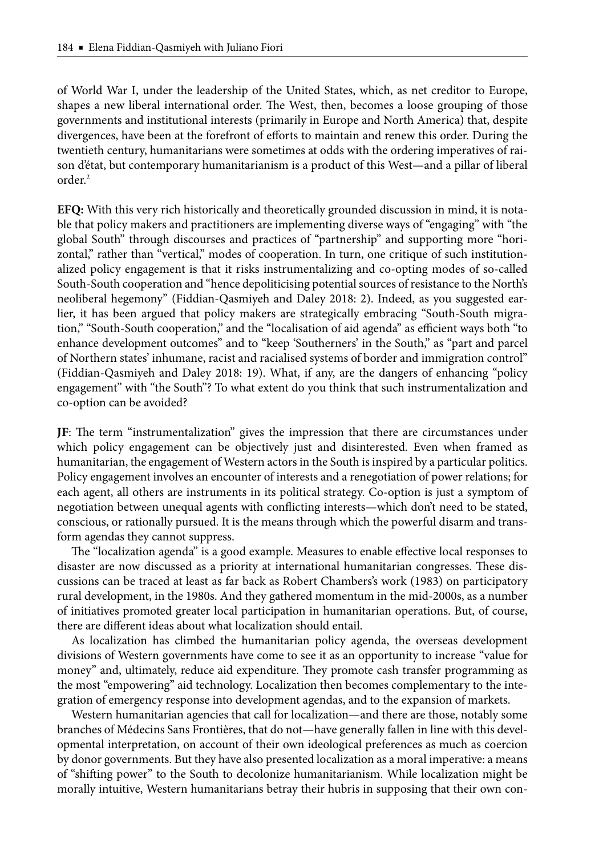of World War I, under the leadership of the United States, which, as net creditor to Europe, shapes a new liberal international order. The West, then, becomes a loose grouping of those governments and institutional interests (primarily in Europe and North America) that, despite divergences, have been at the forefront of efforts to maintain and renew this order. During the twentieth century, humanitarians were sometimes at odds with the ordering imperatives of raison d'état, but contemporary humanitarianism is a product of this West—and a pillar of liberal order.2

**EFQ:** With this very rich historically and theoretically grounded discussion in mind, it is notable that policy makers and practitioners are implementing diverse ways of "engaging" with "the global South" through discourses and practices of "partnership" and supporting more "horizontal," rather than "vertical," modes of cooperation. In turn, one critique of such institutionalized policy engagement is that it risks instrumentalizing and co-opting modes of so-called South-South cooperation and "hence depoliticising potential sources of resistance to the North's neoliberal hegemony" (Fiddian-Qasmiyeh and Daley 2018: 2). Indeed, as you suggested earlier, it has been argued that policy makers are strategically embracing "South-South migration," "South-South cooperation," and the "localisation of aid agenda" as efficient ways both "to enhance development outcomes" and to "keep 'Southerners' in the South," as "part and parcel of Northern states' inhumane, racist and racialised systems of border and immigration control" (Fiddian-Qasmiyeh and Daley 2018: 19). What, if any, are the dangers of enhancing "policy engagement" with "the South"? To what extent do you think that such instrumentalization and co-option can be avoided?

**JF**: The term "instrumentalization" gives the impression that there are circumstances under which policy engagement can be objectively just and disinterested. Even when framed as humanitarian, the engagement of Western actors in the South is inspired by a particular politics. Policy engagement involves an encounter of interests and a renegotiation of power relations; for each agent, all others are instruments in its political strategy. Co-option is just a symptom of negotiation between unequal agents with conflicting interests—which don't need to be stated, conscious, or rationally pursued. It is the means through which the powerful disarm and transform agendas they cannot suppress.

The "localization agenda" is a good example. Measures to enable effective local responses to disaster are now discussed as a priority at international humanitarian congresses. These discussions can be traced at least as far back as Robert Chambers's work (1983) on participatory rural development, in the 1980s. And they gathered momentum in the mid-2000s, as a number of initiatives promoted greater local participation in humanitarian operations. But, of course, there are different ideas about what localization should entail.

As localization has climbed the humanitarian policy agenda, the overseas development divisions of Western governments have come to see it as an opportunity to increase "value for money" and, ultimately, reduce aid expenditure. They promote cash transfer programming as the most "empowering" aid technology. Localization then becomes complementary to the integration of emergency response into development agendas, and to the expansion of markets.

Western humanitarian agencies that call for localization—and there are those, notably some branches of Médecins Sans Frontières, that do not—have generally fallen in line with this developmental interpretation, on account of their own ideological preferences as much as coercion by donor governments. But they have also presented localization as a moral imperative: a means of "shifting power" to the South to decolonize humanitarianism. While localization might be morally intuitive, Western humanitarians betray their hubris in supposing that their own con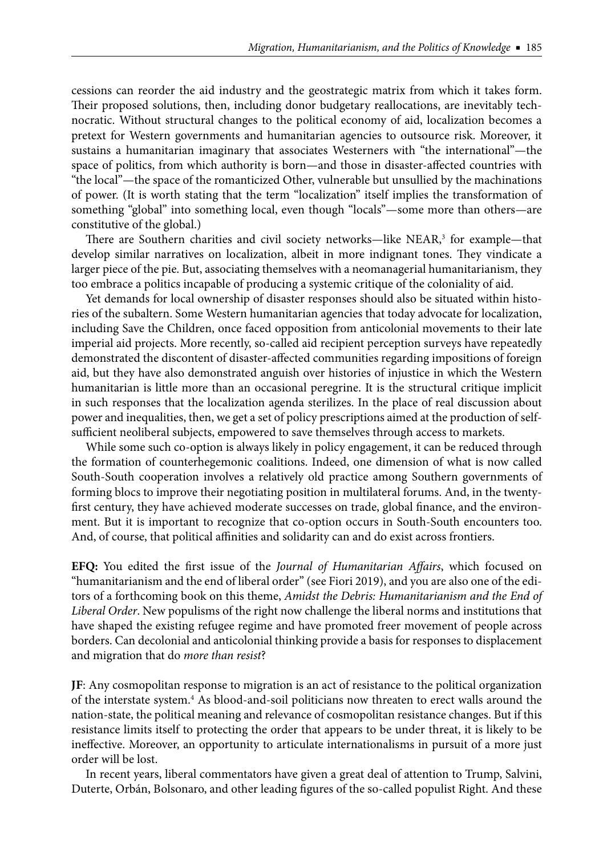cessions can reorder the aid industry and the geostrategic matrix from which it takes form. Their proposed solutions, then, including donor budgetary reallocations, are inevitably technocratic. Without structural changes to the political economy of aid, localization becomes a pretext for Western governments and humanitarian agencies to outsource risk. Moreover, it sustains a humanitarian imaginary that associates Westerners with "the international"—the space of politics, from which authority is born—and those in disaster-affected countries with "the local"—the space of the romanticized Other, vulnerable but unsullied by the machinations of power. (It is worth stating that the term "localization" itself implies the transformation of something "global" into something local, even though "locals"—some more than others—are constitutive of the global.)

There are Southern charities and civil society networks—like NEAR,<sup>3</sup> for example—that develop similar narratives on localization, albeit in more indignant tones. They vindicate a larger piece of the pie. But, associating themselves with a neomanagerial humanitarianism, they too embrace a politics incapable of producing a systemic critique of the coloniality of aid.

Yet demands for local ownership of disaster responses should also be situated within histories of the subaltern. Some Western humanitarian agencies that today advocate for localization, including Save the Children, once faced opposition from anticolonial movements to their late imperial aid projects. More recently, so-called aid recipient perception surveys have repeatedly demonstrated the discontent of disaster-affected communities regarding impositions of foreign aid, but they have also demonstrated anguish over histories of injustice in which the Western humanitarian is little more than an occasional peregrine. It is the structural critique implicit in such responses that the localization agenda sterilizes. In the place of real discussion about power and inequalities, then, we get a set of policy prescriptions aimed at the production of selfsufficient neoliberal subjects, empowered to save themselves through access to markets.

While some such co-option is always likely in policy engagement, it can be reduced through the formation of counterhegemonic coalitions. Indeed, one dimension of what is now called South-South cooperation involves a relatively old practice among Southern governments of forming blocs to improve their negotiating position in multilateral forums. And, in the twentyfirst century, they have achieved moderate successes on trade, global finance, and the environment. But it is important to recognize that co-option occurs in South-South encounters too. And, of course, that political affinities and solidarity can and do exist across frontiers.

**EFQ:** You edited the first issue of the *Journal of Humanitarian Affairs*, which focused on "humanitarianism and the end of liberal order" (see Fiori 2019), and you are also one of the editors of a forthcoming book on this theme, *Amidst the Debris: Humanitarianism and the End of Liberal Order*. New populisms of the right now challenge the liberal norms and institutions that have shaped the existing refugee regime and have promoted freer movement of people across borders. Can decolonial and anticolonial thinking provide a basis for responses to displacement and migration that do *more than resist*?

**JF**: Any cosmopolitan response to migration is an act of resistance to the political organization of the interstate system.<sup>4</sup> As blood-and-soil politicians now threaten to erect walls around the nation-state, the political meaning and relevance of cosmopolitan resistance changes. But if this resistance limits itself to protecting the order that appears to be under threat, it is likely to be ineffective. Moreover, an opportunity to articulate internationalisms in pursuit of a more just order will be lost.

In recent years, liberal commentators have given a great deal of attention to Trump, Salvini, Duterte, Orbán, Bolsonaro, and other leading figures of the so-called populist Right. And these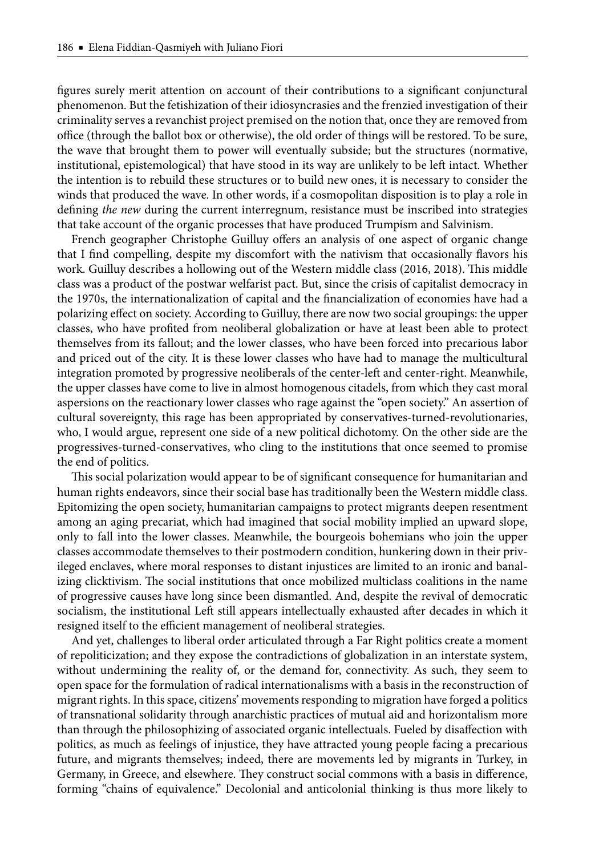figures surely merit attention on account of their contributions to a significant conjunctural phenomenon. But the fetishization of their idiosyncrasies and the frenzied investigation of their criminality serves a revanchist project premised on the notion that, once they are removed from office (through the ballot box or otherwise), the old order of things will be restored. To be sure, the wave that brought them to power will eventually subside; but the structures (normative, institutional, epistemological) that have stood in its way are unlikely to be left intact. Whether the intention is to rebuild these structures or to build new ones, it is necessary to consider the winds that produced the wave. In other words, if a cosmopolitan disposition is to play a role in defining *the new* during the current interregnum, resistance must be inscribed into strategies that take account of the organic processes that have produced Trumpism and Salvinism.

French geographer Christophe Guilluy offers an analysis of one aspect of organic change that I find compelling, despite my discomfort with the nativism that occasionally flavors his work. Guilluy describes a hollowing out of the Western middle class (2016, 2018). This middle class was a product of the postwar welfarist pact. But, since the crisis of capitalist democracy in the 1970s, the internationalization of capital and the financialization of economies have had a polarizing effect on society. According to Guilluy, there are now two social groupings: the upper classes, who have profited from neoliberal globalization or have at least been able to protect themselves from its fallout; and the lower classes, who have been forced into precarious labor and priced out of the city. It is these lower classes who have had to manage the multicultural integration promoted by progressive neoliberals of the center-left and center-right. Meanwhile, the upper classes have come to live in almost homogenous citadels, from which they cast moral aspersions on the reactionary lower classes who rage against the "open society." An assertion of cultural sovereignty, this rage has been appropriated by conservatives-turned-revolutionaries, who, I would argue, represent one side of a new political dichotomy. On the other side are the progressives-turned-conservatives, who cling to the institutions that once seemed to promise the end of politics.

This social polarization would appear to be of significant consequence for humanitarian and human rights endeavors, since their social base has traditionally been the Western middle class. Epitomizing the open society, humanitarian campaigns to protect migrants deepen resentment among an aging precariat, which had imagined that social mobility implied an upward slope, only to fall into the lower classes. Meanwhile, the bourgeois bohemians who join the upper classes accommodate themselves to their postmodern condition, hunkering down in their privileged enclaves, where moral responses to distant injustices are limited to an ironic and banalizing clicktivism. The social institutions that once mobilized multiclass coalitions in the name of progressive causes have long since been dismantled. And, despite the revival of democratic socialism, the institutional Left still appears intellectually exhausted after decades in which it resigned itself to the efficient management of neoliberal strategies.

And yet, challenges to liberal order articulated through a Far Right politics create a moment of repoliticization; and they expose the contradictions of globalization in an interstate system, without undermining the reality of, or the demand for, connectivity. As such, they seem to open space for the formulation of radical internationalisms with a basis in the reconstruction of migrant rights. In this space, citizens' movements responding to migration have forged a politics of transnational solidarity through anarchistic practices of mutual aid and horizontalism more than through the philosophizing of associated organic intellectuals. Fueled by disaffection with politics, as much as feelings of injustice, they have attracted young people facing a precarious future, and migrants themselves; indeed, there are movements led by migrants in Turkey, in Germany, in Greece, and elsewhere. They construct social commons with a basis in difference, forming "chains of equivalence." Decolonial and anticolonial thinking is thus more likely to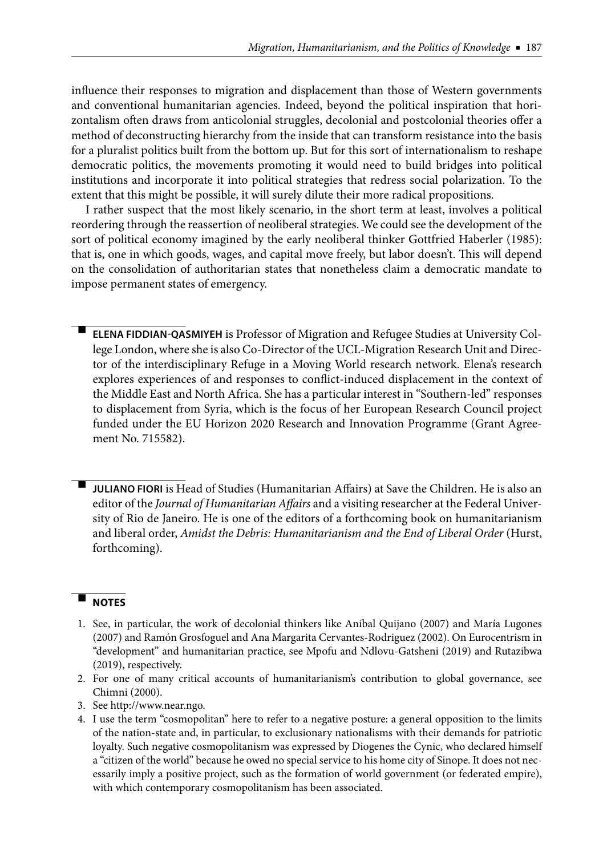influence their responses to migration and displacement than those of Western governments and conventional humanitarian agencies. Indeed, beyond the political inspiration that horizontalism often draws from anticolonial struggles, decolonial and postcolonial theories offer a method of deconstructing hierarchy from the inside that can transform resistance into the basis for a pluralist politics built from the bottom up. But for this sort of internationalism to reshape democratic politics, the movements promoting it would need to build bridges into political institutions and incorporate it into political strategies that redress social polarization. To the extent that this might be possible, it will surely dilute their more radical propositions.

I rather suspect that the most likely scenario, in the short term at least, involves a political reordering through the reassertion of neoliberal strategies. We could see the development of the sort of political economy imagined by the early neoliberal thinker Gottfried Haberler (1985): that is, one in which goods, wages, and capital move freely, but labor doesn't. This will depend on the consolidation of authoritarian states that nonetheless claim a democratic mandate to impose permanent states of emergency.

-**ELENA FIDDIAN-QASMIYEH** is Professor of Migration and Refugee Studies at University College London, where she is also Co-Director of the UCL-Migration Research Unit and Director of the interdisciplinary Refuge in a Moving World research network. Elena's research explores experiences of and responses to conflict-induced displacement in the context of the Middle East and North Africa. She has a particular interest in "Southern-led" responses to displacement from Syria, which is the focus of her European Research Council project funded under the EU Horizon 2020 Research and Innovation Programme (Grant Agreement No. 715582).

-**JULIANO FIORI** is Head of Studies (Humanitarian Affairs) at Save the Children. He is also an editor of the *Journal of Humanitarian Affairs* and a visiting researcher at the Federal University of Rio de Janeiro. He is one of the editors of a forthcoming book on humanitarianism and liberal order, *Amidst the Debris: Humanitarianism and the End of Liberal Order* (Hurst, forthcoming).

## - **NOTES**

- 1. See, in particular, the work of decolonial thinkers like Aníbal Quijano (2007) and María Lugones (2007) and Ramón Grosfoguel and Ana Margarita Cervantes-Rodriguez (2002). On Eurocentrism in "development" and humanitarian practice, see Mpofu and Ndlovu-Gatsheni (2019) and Rutazibwa (2019), respectively.
- 2. For one of many critical accounts of humanitarianism's contribution to global governance, see Chimni (2000).
- 3. See http://www.near.ngo.
- 4. I use the term "cosmopolitan" here to refer to a negative posture: a general opposition to the limits of the nation-state and, in particular, to exclusionary nationalisms with their demands for patriotic loyalty. Such negative cosmopolitanism was expressed by Diogenes the Cynic, who declared himself a "citizen of the world" because he owed no special service to his home city of Sinope. It does not necessarily imply a positive project, such as the formation of world government (or federated empire), with which contemporary cosmopolitanism has been associated.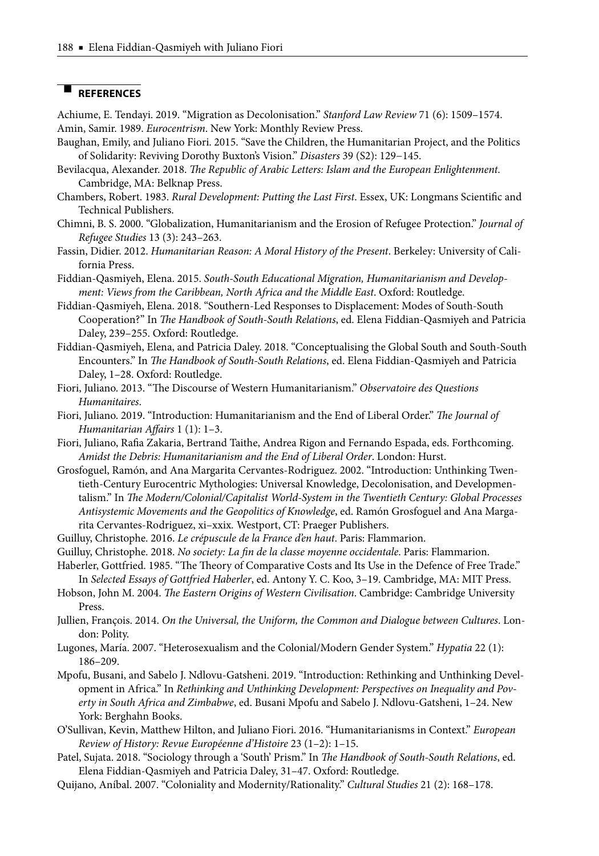## - **REFERENCES**

Achiume, E. Tendayi. 2019. "Migration as Decolonisation." *Stanford Law Review* 71 (6): 1509–1574. Amin, Samir. 1989. *Eurocentrism*. New York: Monthly Review Press.

- Baughan, Emily, and Juliano Fiori. 2015. "Save the Children, the Humanitarian Project, and the Politics of Solidarity: Reviving Dorothy Buxton's Vision." *Disasters* 39 (S2): 129−145.
- Bevilacqua, Alexander. 2018. *The Republic of Arabic Letters: Islam and the European Enlightenment*. Cambridge, MA: Belknap Press.
- Chambers, Robert. 1983. *Rural Development: Putting the Last First*. Essex, UK: Longmans Scientific and Technical Publishers.
- Chimni, B. S. 2000. "Globalization, Humanitarianism and the Erosion of Refugee Protection." *Journal of Refugee Studies* 13 (3): 243–263.
- Fassin, Didier. 2012. *Humanitarian Reason: A Moral History of the Present*. Berkeley: University of California Press.
- Fiddian-Qasmiyeh, Elena. 2015. *South-South Educational Migration, Humanitarianism and Development: Views from the Caribbean, North Africa and the Middle East*. Oxford: Routledge.
- Fiddian-Qasmiyeh, Elena. 2018. "Southern-Led Responses to Displacement: Modes of South-South Cooperation?" In *The Handbook of South-South Relations*, ed. Elena Fiddian-Qasmiyeh and Patricia Daley, 239–255. Oxford: Routledge.
- Fiddian-Qasmiyeh, Elena, and Patricia Daley. 2018. "Conceptualising the Global South and South-South Encounters." In *The Handbook of South-South Relations*, ed. Elena Fiddian-Qasmiyeh and Patricia Daley, 1–28. Oxford: Routledge.
- Fiori, Juliano. 2013. "The Discourse of Western Humanitarianism." Observatoire des Questions *Humanitaires*.
- Fiori, Juliano. 2019. "Introduction: Humanitarianism and the End of Liberal Order." The Journal of *Humanitarian Affairs* 1 (1): 1-3.
- Fiori, Juliano, Rafia Zakaria, Bertrand Taithe, Andrea Rigon and Fernando Espada, eds. Forthcoming. *Amidst the Debris: Humanitarianism and the End of Liberal Order*. London: Hurst.
- Grosfoguel, Ramón, and Ana Margarita Cervantes-Rodriguez. 2002. "Introduction: Unthinking Twentieth-Century Eurocentric Mythologies: Universal Knowledge, Decolonisation, and Developmentalism." In *The Modern/Colonial/Capitalist World-System in the Twentieth Century: Global Processes Antisystemic Movements and the Geopolitics of Knowledge*, ed. Ramón Grosfoguel and Ana Margarita Cervantes-Rodriguez, xi–xxix*.* Westport, CT: Praeger Publishers.
- Guilluy, Christophe. 2016. *Le crépuscule de la France d'en haut*. Paris: Flammarion.
- Guilluy, Christophe. 2018. No society: La fin de la classe moyenne occidentale. Paris: Flammarion.
- Haberler, Gottfried. 1985. "The Theory of Comparative Costs and Its Use in the Defence of Free Trade." In *Selected Essays of Gottfried Haberler*, ed. Antony Y. C. Koo, 3–19. Cambridge, MA: MIT Press.
- Hobson, John M. 2004. *The Eastern Origins of Western Civilisation*. Cambridge: Cambridge University
- Press. Jullien, François. 2014. *On the Universal, the Uniform, the Common and Dialogue between Cultures*. Lon-
- don: Polity.
- Lugones, María. 2007. "Heterosexualism and the Colonial/Modern Gender System." *Hypatia* 22 (1): 186–209.
- Mpofu, Busani, and Sabelo J. Ndlovu-Gatsheni. 2019. "Introduction: Rethinking and Unthinking Development in Africa." In *Rethinking and Unthinking Development: Perspectives on Inequality and Poverty in South Africa and Zimbabwe*, ed. Busani Mpofu and Sabelo J. Ndlovu-Gatsheni, 1–24. New York: Berghahn Books.
- O'Sullivan, Kevin, Matthew Hilton, and Juliano Fiori. 2016. "Humanitarianisms in Context." *European Review of History: Revue Europé enne d'Histoire* 23 (1–2): 1–15.
- Patel, Sujata. 2018. "Sociology through a 'South' Prism." In *The Handbook of South-South Relations*, ed. Elena Fiddian-Qasmiyeh and Patricia Daley, 31–47. Oxford: Routledge.
- Quijano, Aníbal. 2007. "Coloniality and Modernity/Rationality." *Cultural Studies* 21 (2): 168–178.